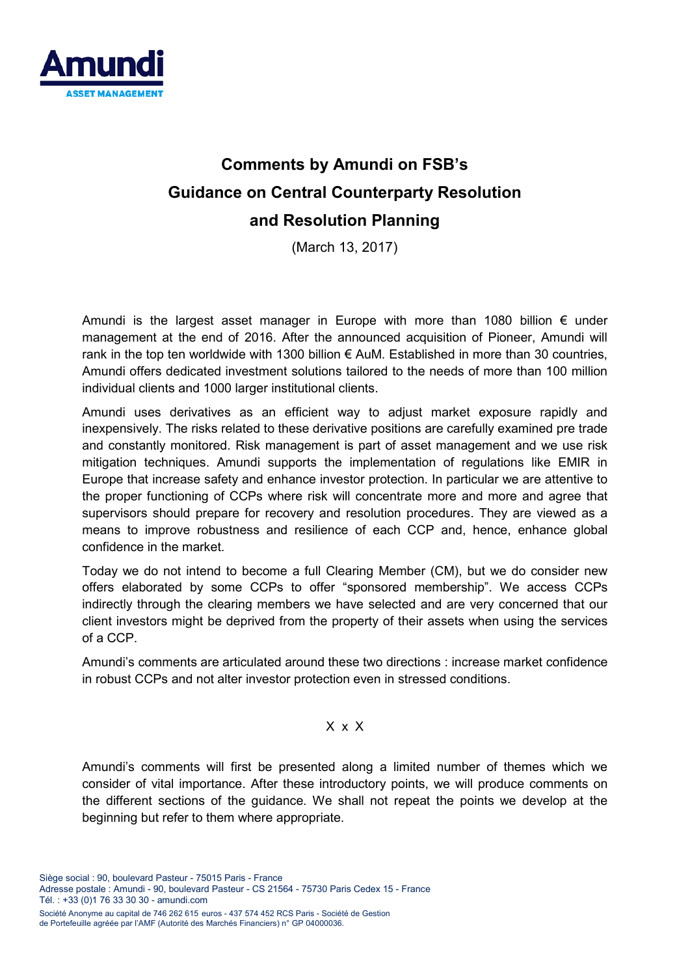

# **Comments by Amundi on FSB's Guidance on Central Counterparty Resolution and Resolution Planning**

(March 13, 2017)

Amundi is the largest asset manager in Europe with more than 1080 billion  $\epsilon$  under management at the end of 2016. After the announced acquisition of Pioneer, Amundi will rank in the top ten worldwide with 1300 billion  $\epsilon$  AuM. Established in more than 30 countries, Amundi offers dedicated investment solutions tailored to the needs of more than 100 million individual clients and 1000 larger institutional clients.

Amundi uses derivatives as an efficient way to adjust market exposure rapidly and inexpensively. The risks related to these derivative positions are carefully examined pre trade and constantly monitored. Risk management is part of asset management and we use risk mitigation techniques. Amundi supports the implementation of regulations like EMIR in Europe that increase safety and enhance investor protection. In particular we are attentive to the proper functioning of CCPs where risk will concentrate more and more and agree that supervisors should prepare for recovery and resolution procedures. They are viewed as a means to improve robustness and resilience of each CCP and, hence, enhance global confidence in the market.

Today we do not intend to become a full Clearing Member (CM), but we do consider new offers elaborated by some CCPs to offer "sponsored membership". We access CCPs indirectly through the clearing members we have selected and are very concerned that our client investors might be deprived from the property of their assets when using the services of a CCP.

Amundi's comments are articulated around these two directions : increase market confidence in robust CCPs and not alter investor protection even in stressed conditions.

#### X x X

Amundi's comments will first be presented along a limited number of themes which we consider of vital importance. After these introductory points, we will produce comments on the different sections of the guidance. We shall not repeat the points we develop at the beginning but refer to them where appropriate.

Société Anonyme au capital de 746 262 615 euros - 437 574 452 RCS Paris - Société de Gestion de Portefeuille agréée par l'AMF (Autorité des Marchés Financiers) n° GP 04000036.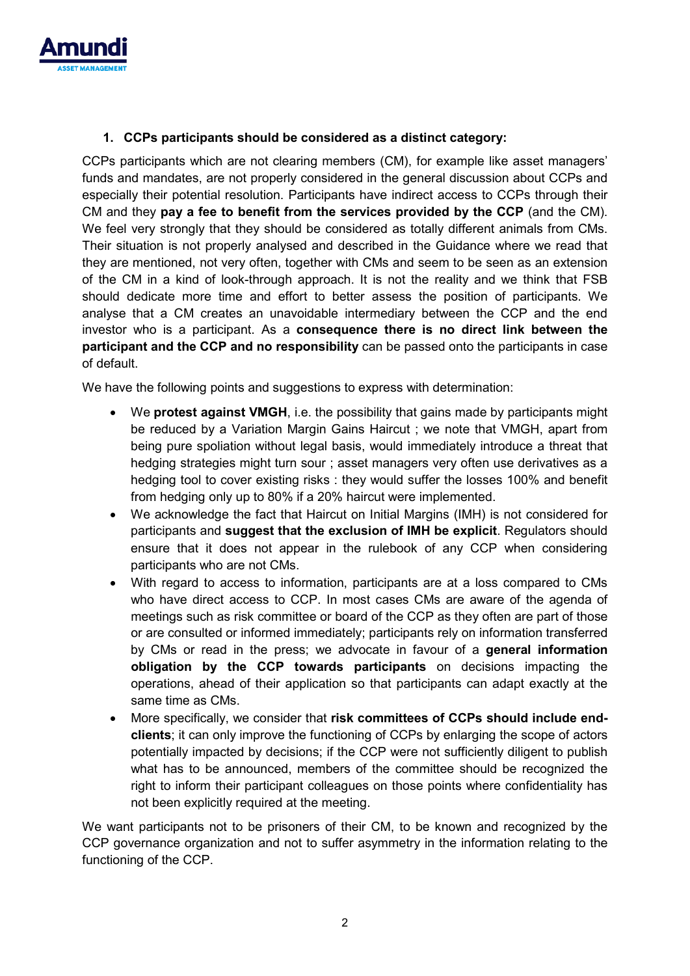

### **1. CCPs participants should be considered as a distinct category:**

CCPs participants which are not clearing members (CM), for example like asset managers' funds and mandates, are not properly considered in the general discussion about CCPs and especially their potential resolution. Participants have indirect access to CCPs through their CM and they **pay a fee to benefit from the services provided by the CCP** (and the CM). We feel very strongly that they should be considered as totally different animals from CMs. Their situation is not properly analysed and described in the Guidance where we read that they are mentioned, not very often, together with CMs and seem to be seen as an extension of the CM in a kind of look-through approach. It is not the reality and we think that FSB should dedicate more time and effort to better assess the position of participants. We analyse that a CM creates an unavoidable intermediary between the CCP and the end investor who is a participant. As a **consequence there is no direct link between the participant and the CCP and no responsibility** can be passed onto the participants in case of default.

We have the following points and suggestions to express with determination:

- We **protest against VMGH**, i.e. the possibility that gains made by participants might be reduced by a Variation Margin Gains Haircut ; we note that VMGH, apart from being pure spoliation without legal basis, would immediately introduce a threat that hedging strategies might turn sour ; asset managers very often use derivatives as a hedging tool to cover existing risks : they would suffer the losses 100% and benefit from hedging only up to 80% if a 20% haircut were implemented.
- We acknowledge the fact that Haircut on Initial Margins (IMH) is not considered for participants and **suggest that the exclusion of IMH be explicit**. Regulators should ensure that it does not appear in the rulebook of any CCP when considering participants who are not CMs.
- With regard to access to information, participants are at a loss compared to CMs who have direct access to CCP. In most cases CMs are aware of the agenda of meetings such as risk committee or board of the CCP as they often are part of those or are consulted or informed immediately; participants rely on information transferred by CMs or read in the press; we advocate in favour of a **general information obligation by the CCP towards participants** on decisions impacting the operations, ahead of their application so that participants can adapt exactly at the same time as CMs.
- More specifically, we consider that **risk committees of CCPs should include endclients**; it can only improve the functioning of CCPs by enlarging the scope of actors potentially impacted by decisions; if the CCP were not sufficiently diligent to publish what has to be announced, members of the committee should be recognized the right to inform their participant colleagues on those points where confidentiality has not been explicitly required at the meeting.

We want participants not to be prisoners of their CM, to be known and recognized by the CCP governance organization and not to suffer asymmetry in the information relating to the functioning of the CCP.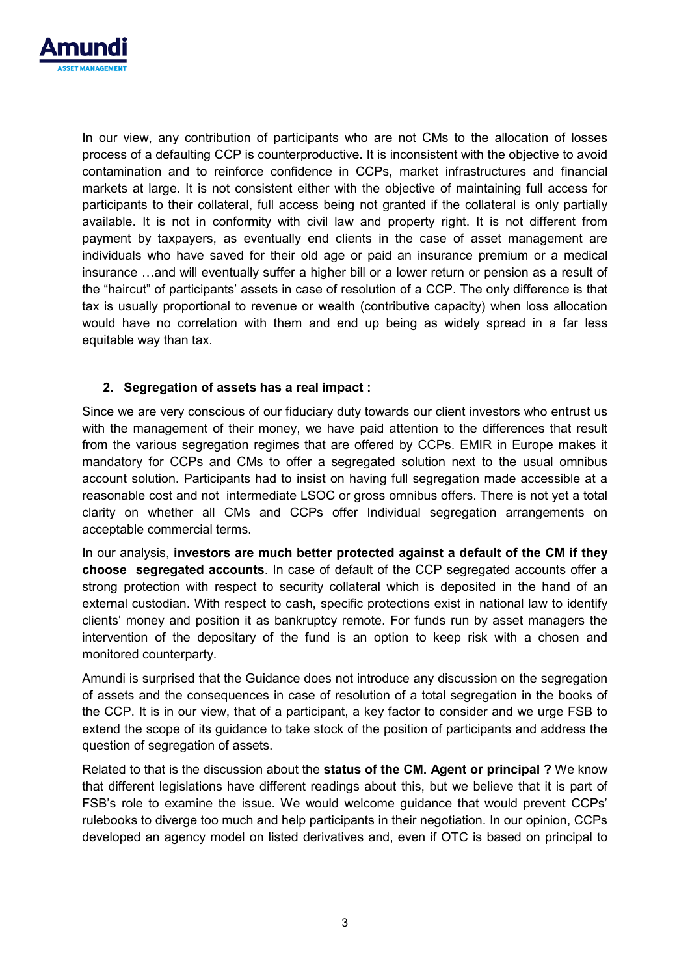

In our view, any contribution of participants who are not CMs to the allocation of losses process of a defaulting CCP is counterproductive. It is inconsistent with the objective to avoid contamination and to reinforce confidence in CCPs, market infrastructures and financial markets at large. It is not consistent either with the objective of maintaining full access for participants to their collateral, full access being not granted if the collateral is only partially available. It is not in conformity with civil law and property right. It is not different from payment by taxpayers, as eventually end clients in the case of asset management are individuals who have saved for their old age or paid an insurance premium or a medical insurance …and will eventually suffer a higher bill or a lower return or pension as a result of the "haircut" of participants' assets in case of resolution of a CCP. The only difference is that tax is usually proportional to revenue or wealth (contributive capacity) when loss allocation would have no correlation with them and end up being as widely spread in a far less equitable way than tax.

#### **2. Segregation of assets has a real impact :**

Since we are very conscious of our fiduciary duty towards our client investors who entrust us with the management of their money, we have paid attention to the differences that result from the various segregation regimes that are offered by CCPs. EMIR in Europe makes it mandatory for CCPs and CMs to offer a segregated solution next to the usual omnibus account solution. Participants had to insist on having full segregation made accessible at a reasonable cost and not intermediate LSOC or gross omnibus offers. There is not yet a total clarity on whether all CMs and CCPs offer Individual segregation arrangements on acceptable commercial terms.

In our analysis, **investors are much better protected against a default of the CM if they choose segregated accounts**. In case of default of the CCP segregated accounts offer a strong protection with respect to security collateral which is deposited in the hand of an external custodian. With respect to cash, specific protections exist in national law to identify clients' money and position it as bankruptcy remote. For funds run by asset managers the intervention of the depositary of the fund is an option to keep risk with a chosen and monitored counterparty.

Amundi is surprised that the Guidance does not introduce any discussion on the segregation of assets and the consequences in case of resolution of a total segregation in the books of the CCP. It is in our view, that of a participant, a key factor to consider and we urge FSB to extend the scope of its guidance to take stock of the position of participants and address the question of segregation of assets.

Related to that is the discussion about the **status of the CM. Agent or principal ?** We know that different legislations have different readings about this, but we believe that it is part of FSB's role to examine the issue. We would welcome guidance that would prevent CCPs' rulebooks to diverge too much and help participants in their negotiation. In our opinion, CCPs developed an agency model on listed derivatives and, even if OTC is based on principal to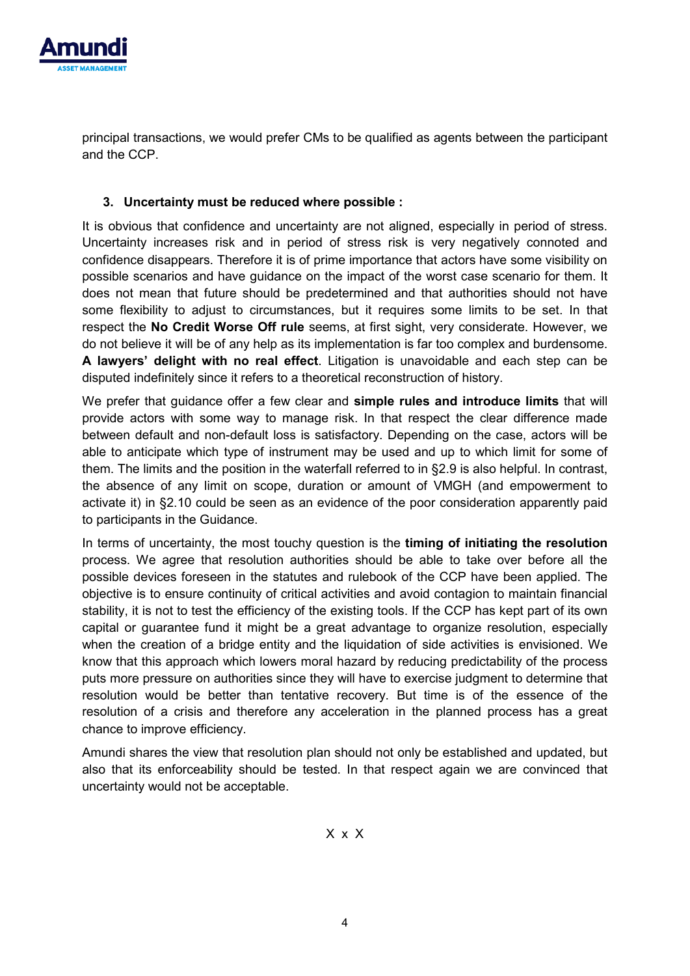

principal transactions, we would prefer CMs to be qualified as agents between the participant and the CCP.

#### **3. Uncertainty must be reduced where possible :**

It is obvious that confidence and uncertainty are not aligned, especially in period of stress. Uncertainty increases risk and in period of stress risk is very negatively connoted and confidence disappears. Therefore it is of prime importance that actors have some visibility on possible scenarios and have guidance on the impact of the worst case scenario for them. It does not mean that future should be predetermined and that authorities should not have some flexibility to adjust to circumstances, but it requires some limits to be set. In that respect the **No Credit Worse Off rule** seems, at first sight, very considerate. However, we do not believe it will be of any help as its implementation is far too complex and burdensome. **A lawyers' delight with no real effect**. Litigation is unavoidable and each step can be disputed indefinitely since it refers to a theoretical reconstruction of history.

We prefer that guidance offer a few clear and **simple rules and introduce limits** that will provide actors with some way to manage risk. In that respect the clear difference made between default and non-default loss is satisfactory. Depending on the case, actors will be able to anticipate which type of instrument may be used and up to which limit for some of them. The limits and the position in the waterfall referred to in §2.9 is also helpful. In contrast, the absence of any limit on scope, duration or amount of VMGH (and empowerment to activate it) in §2.10 could be seen as an evidence of the poor consideration apparently paid to participants in the Guidance.

In terms of uncertainty, the most touchy question is the **timing of initiating the resolution** process. We agree that resolution authorities should be able to take over before all the possible devices foreseen in the statutes and rulebook of the CCP have been applied. The objective is to ensure continuity of critical activities and avoid contagion to maintain financial stability, it is not to test the efficiency of the existing tools. If the CCP has kept part of its own capital or guarantee fund it might be a great advantage to organize resolution, especially when the creation of a bridge entity and the liquidation of side activities is envisioned. We know that this approach which lowers moral hazard by reducing predictability of the process puts more pressure on authorities since they will have to exercise judgment to determine that resolution would be better than tentative recovery. But time is of the essence of the resolution of a crisis and therefore any acceleration in the planned process has a great chance to improve efficiency.

Amundi shares the view that resolution plan should not only be established and updated, but also that its enforceability should be tested. In that respect again we are convinced that uncertainty would not be acceptable.

X x X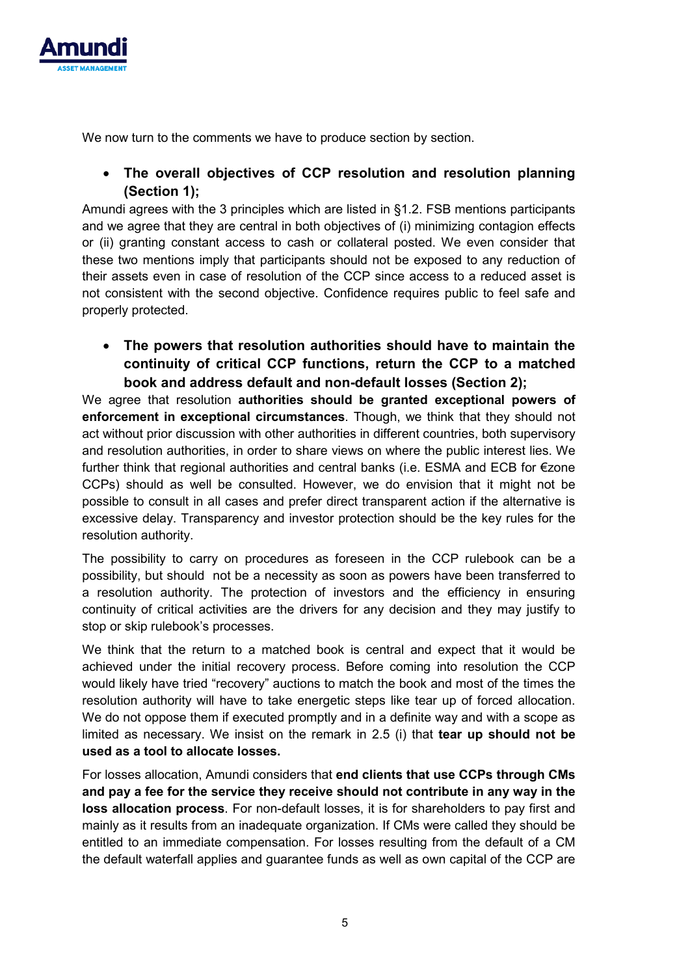

We now turn to the comments we have to produce section by section.

## • **The overall objectives of CCP resolution and resolution planning (Section 1);**

Amundi agrees with the 3 principles which are listed in §1.2. FSB mentions participants and we agree that they are central in both objectives of (i) minimizing contagion effects or (ii) granting constant access to cash or collateral posted. We even consider that these two mentions imply that participants should not be exposed to any reduction of their assets even in case of resolution of the CCP since access to a reduced asset is not consistent with the second objective. Confidence requires public to feel safe and properly protected.

• **The powers that resolution authorities should have to maintain the continuity of critical CCP functions, return the CCP to a matched book and address default and non-default losses (Section 2);** 

We agree that resolution **authorities should be granted exceptional powers of enforcement in exceptional circumstances**. Though, we think that they should not act without prior discussion with other authorities in different countries, both supervisory and resolution authorities, in order to share views on where the public interest lies. We further think that regional authorities and central banks (i.e. ESMA and ECB for €zone CCPs) should as well be consulted. However, we do envision that it might not be possible to consult in all cases and prefer direct transparent action if the alternative is excessive delay. Transparency and investor protection should be the key rules for the resolution authority.

The possibility to carry on procedures as foreseen in the CCP rulebook can be a possibility, but should not be a necessity as soon as powers have been transferred to a resolution authority. The protection of investors and the efficiency in ensuring continuity of critical activities are the drivers for any decision and they may justify to stop or skip rulebook's processes.

We think that the return to a matched book is central and expect that it would be achieved under the initial recovery process. Before coming into resolution the CCP would likely have tried "recovery" auctions to match the book and most of the times the resolution authority will have to take energetic steps like tear up of forced allocation. We do not oppose them if executed promptly and in a definite way and with a scope as limited as necessary. We insist on the remark in 2.5 (i) that **tear up should not be used as a tool to allocate losses.**

For losses allocation, Amundi considers that **end clients that use CCPs through CMs and pay a fee for the service they receive should not contribute in any way in the loss allocation process**. For non-default losses, it is for shareholders to pay first and mainly as it results from an inadequate organization. If CMs were called they should be entitled to an immediate compensation. For losses resulting from the default of a CM the default waterfall applies and guarantee funds as well as own capital of the CCP are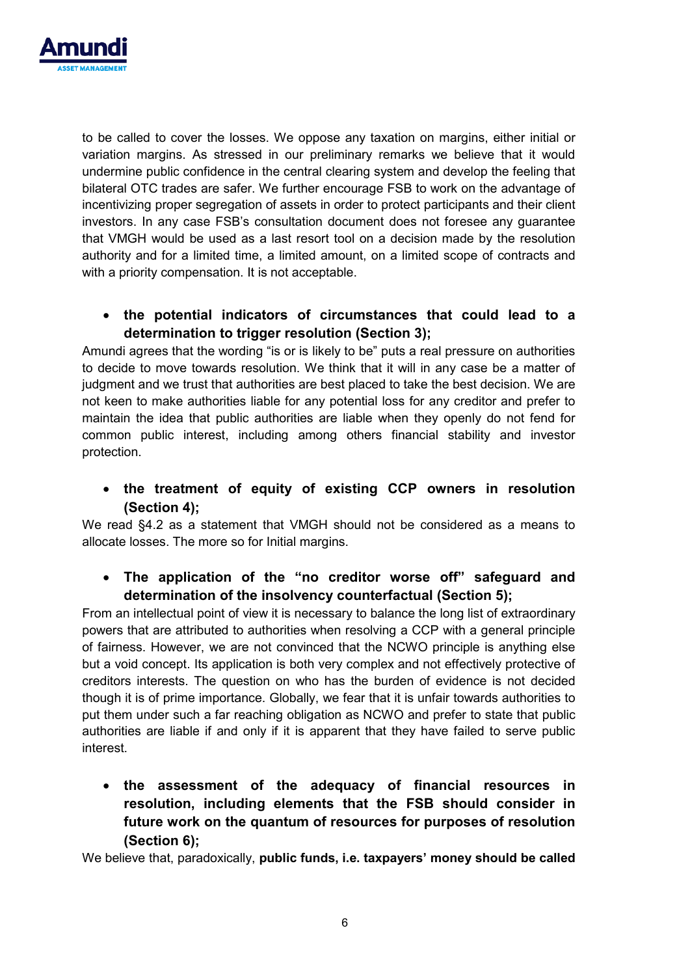

to be called to cover the losses. We oppose any taxation on margins, either initial or variation margins. As stressed in our preliminary remarks we believe that it would undermine public confidence in the central clearing system and develop the feeling that bilateral OTC trades are safer. We further encourage FSB to work on the advantage of incentivizing proper segregation of assets in order to protect participants and their client investors. In any case FSB's consultation document does not foresee any guarantee that VMGH would be used as a last resort tool on a decision made by the resolution authority and for a limited time, a limited amount, on a limited scope of contracts and with a priority compensation. It is not acceptable.

## • **the potential indicators of circumstances that could lead to a determination to trigger resolution (Section 3);**

Amundi agrees that the wording "is or is likely to be" puts a real pressure on authorities to decide to move towards resolution. We think that it will in any case be a matter of judgment and we trust that authorities are best placed to take the best decision. We are not keen to make authorities liable for any potential loss for any creditor and prefer to maintain the idea that public authorities are liable when they openly do not fend for common public interest, including among others financial stability and investor protection.

• **the treatment of equity of existing CCP owners in resolution (Section 4);** 

We read §4.2 as a statement that VMGH should not be considered as a means to allocate losses. The more so for Initial margins.

## • **The application of the "no creditor worse off" safeguard and determination of the insolvency counterfactual (Section 5);**

From an intellectual point of view it is necessary to balance the long list of extraordinary powers that are attributed to authorities when resolving a CCP with a general principle of fairness. However, we are not convinced that the NCWO principle is anything else but a void concept. Its application is both very complex and not effectively protective of creditors interests. The question on who has the burden of evidence is not decided though it is of prime importance. Globally, we fear that it is unfair towards authorities to put them under such a far reaching obligation as NCWO and prefer to state that public authorities are liable if and only if it is apparent that they have failed to serve public interest.

• **the assessment of the adequacy of financial resources in resolution, including elements that the FSB should consider in future work on the quantum of resources for purposes of resolution (Section 6);**

We believe that, paradoxically, **public funds, i.e. taxpayers' money should be called**